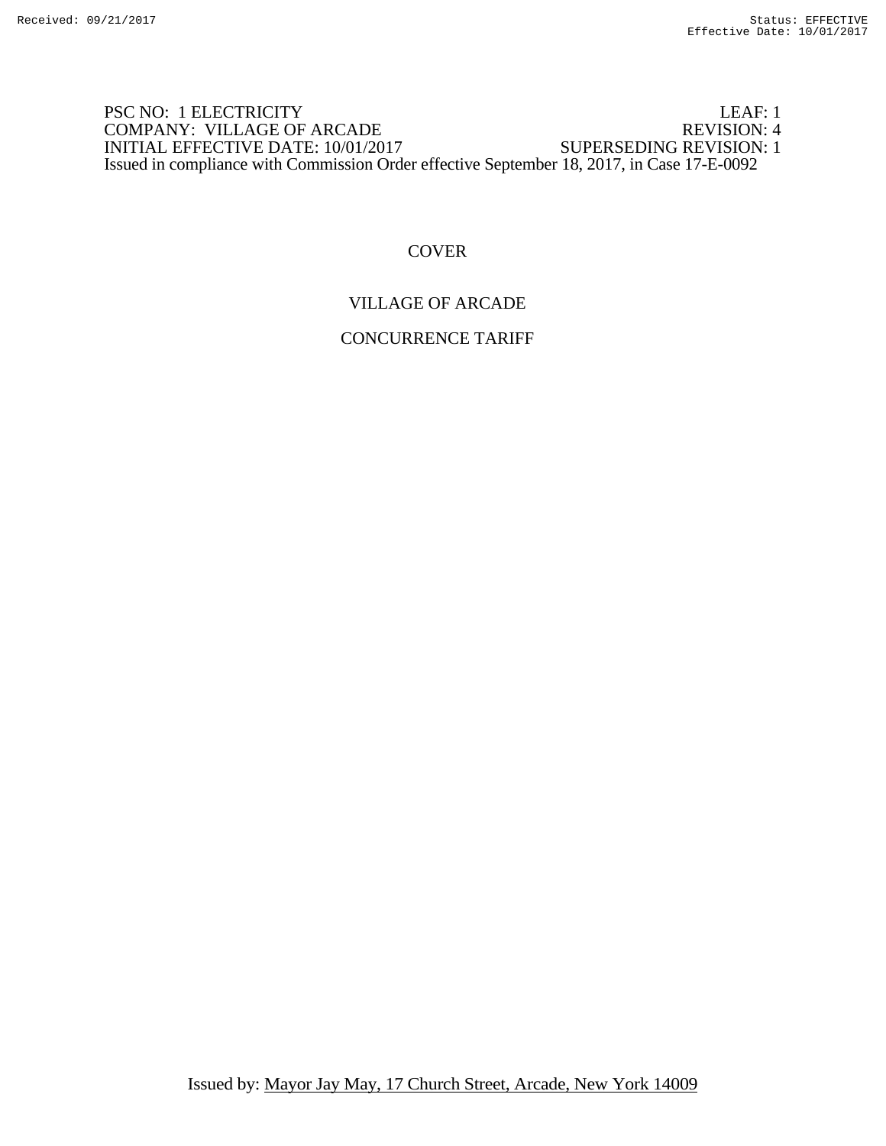### PSC NO: 1 ELECTRICITY LEAF: 1 COMPANY: VILLAGE OF ARCADE REVISION: 4<br>INITIAL EFFECTIVE DATE: 10/01/2017 SUPERSEDING REVISION: 1 INITIAL EFFECTIVE DATE: 10/01/2017 Issued in compliance with Commission Order effective September 18, 2017, in Case 17-E-0092

# **COVER**

# VILLAGE OF ARCADE

### CONCURRENCE TARIFF

Issued by: Mayor Jay May, 17 Church Street, Arcade, New York 14009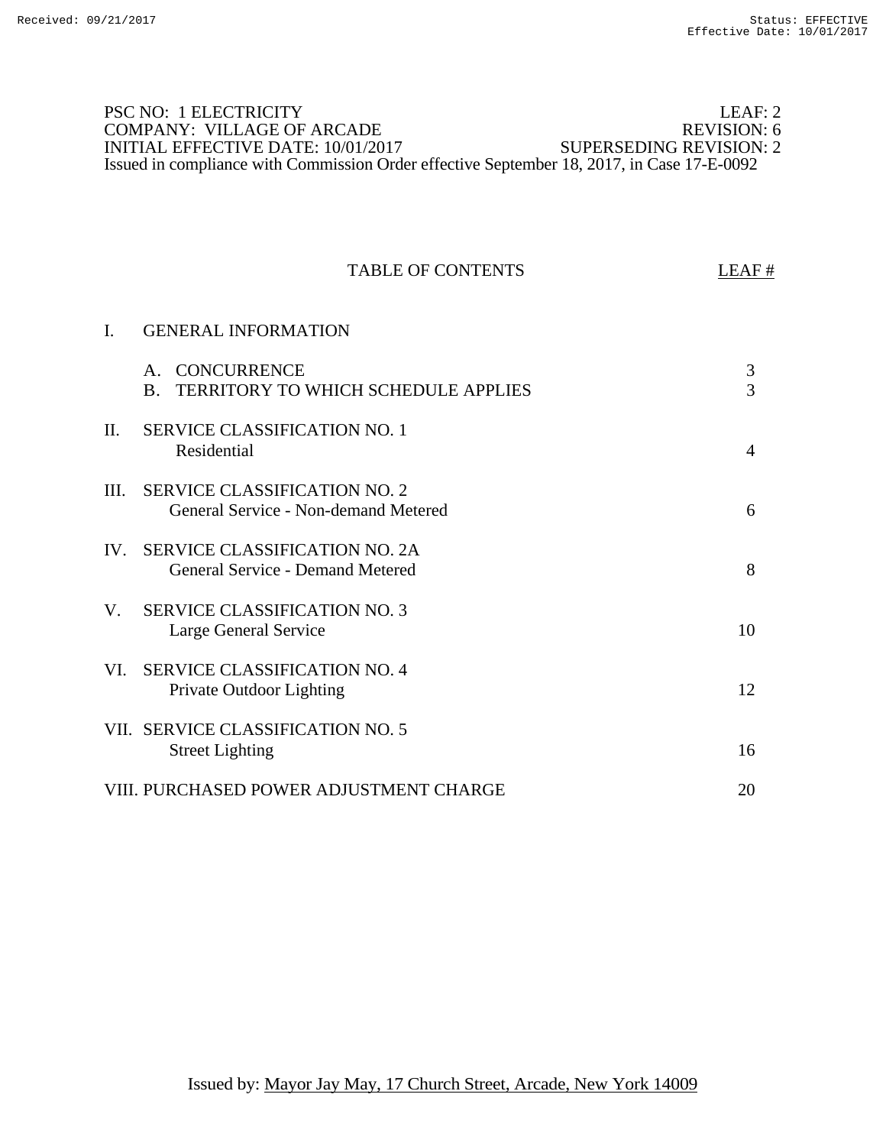### PSC NO: 1 ELECTRICITY LEAF: 2 LEAF: 2 LEAF: 2 LEAF: 2 LEAF: 2 LEAF: 2 LEAF: 2 LEAF: 2 LEAF: 2 LEAF: 2 LEAF: 2 LEAF: 2 LEAF: 2 LEAF: 2 LEAF: 2 LEAF: 2 LEAF: 2 LEAF: 2 LEAF: 2 LEAF: 2 LEAF: 2 LEAF: 2 LEAF: 2 LEAF: 2 LEAF: 2 COMPANY: VILLAGE OF ARCADE REVISION: 6<br>INITIAL EFFECTIVE DATE: 10/01/2017 SUPERSEDING REVISION: 2 INITIAL EFFECTIVE DATE: 10/01/2017 Issued in compliance with Commission Order effective September 18, 2017, in Case 17-E-0092

|      | <b>TABLE OF CONTENTS</b>                                                                     | LEAF#                            |
|------|----------------------------------------------------------------------------------------------|----------------------------------|
| I.   | <b>GENERAL INFORMATION</b>                                                                   |                                  |
|      | <b>CONCURRENCE</b><br>$A_{\cdot}$<br><b>TERRITORY TO WHICH SCHEDULE APPLIES</b><br><b>B.</b> | $\mathfrak{Z}$<br>$\overline{3}$ |
| II.  | <b>SERVICE CLASSIFICATION NO. 1</b><br>Residential                                           | $\overline{4}$                   |
| III. | <b>SERVICE CLASSIFICATION NO. 2</b><br>General Service - Non-demand Metered                  | 6                                |
| IV.  | <b>SERVICE CLASSIFICATION NO. 2A</b><br>General Service - Demand Metered                     | 8                                |
| V.   | <b>SERVICE CLASSIFICATION NO. 3</b><br>Large General Service                                 | 10                               |
| VI.  | <b>SERVICE CLASSIFICATION NO. 4</b><br>Private Outdoor Lighting                              | 12                               |
|      | VII. SERVICE CLASSIFICATION NO. 5<br><b>Street Lighting</b>                                  | 16                               |
|      | VIII. PURCHASED POWER ADJUSTMENT CHARGE                                                      | 20                               |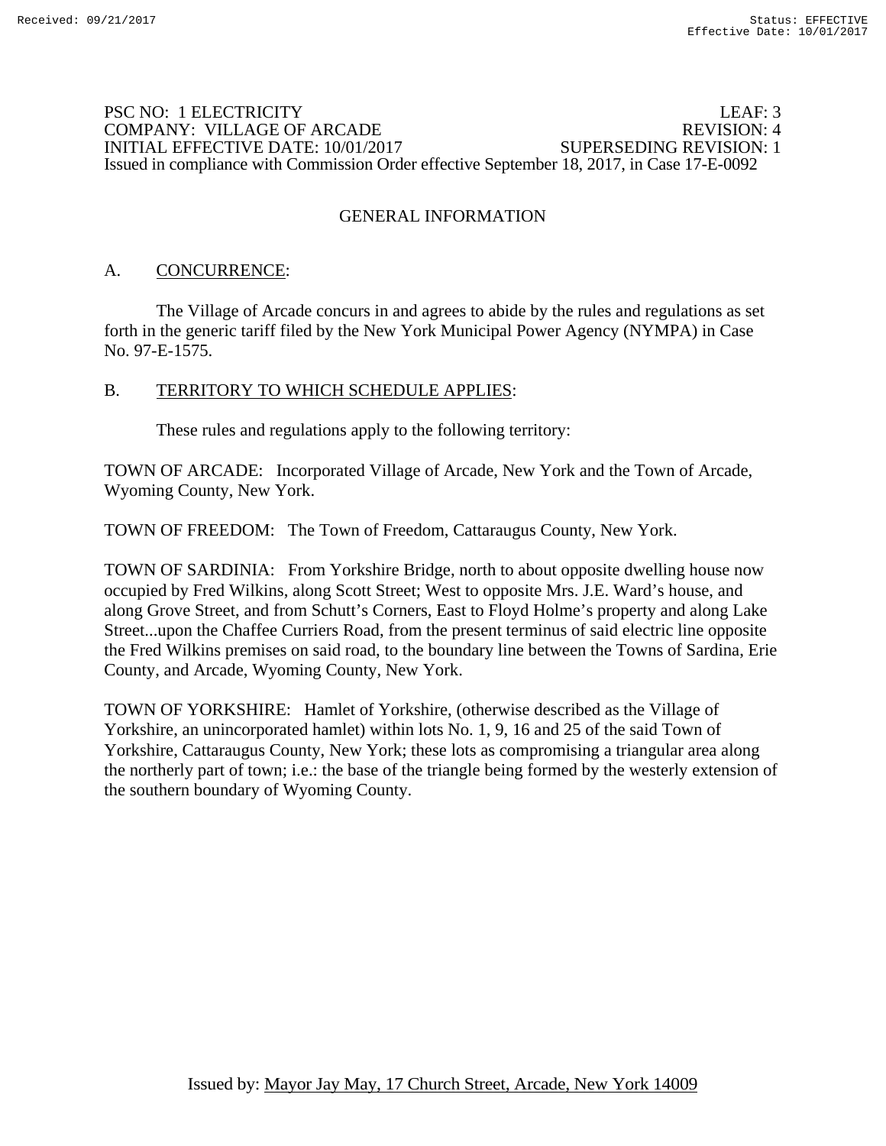### PSC NO: 1 ELECTRICITY LEAF: 3 COMPANY: VILLAGE OF ARCADE REVISION: 4 INITIAL EFFECTIVE DATE: 10/01/2017 SUPERSEDING REVISION: 1 Issued in compliance with Commission Order effective September 18, 2017, in Case 17-E-0092

# GENERAL INFORMATION

## A. CONCURRENCE:

 The Village of Arcade concurs in and agrees to abide by the rules and regulations as set forth in the generic tariff filed by the New York Municipal Power Agency (NYMPA) in Case No. 97-E-1575.

## B. TERRITORY TO WHICH SCHEDULE APPLIES:

These rules and regulations apply to the following territory:

TOWN OF ARCADE: Incorporated Village of Arcade, New York and the Town of Arcade, Wyoming County, New York.

TOWN OF FREEDOM: The Town of Freedom, Cattaraugus County, New York.

TOWN OF SARDINIA: From Yorkshire Bridge, north to about opposite dwelling house now occupied by Fred Wilkins, along Scott Street; West to opposite Mrs. J.E. Ward's house, and along Grove Street, and from Schutt's Corners, East to Floyd Holme's property and along Lake Street...upon the Chaffee Curriers Road, from the present terminus of said electric line opposite the Fred Wilkins premises on said road, to the boundary line between the Towns of Sardina, Erie County, and Arcade, Wyoming County, New York.

TOWN OF YORKSHIRE: Hamlet of Yorkshire, (otherwise described as the Village of Yorkshire, an unincorporated hamlet) within lots No. 1, 9, 16 and 25 of the said Town of Yorkshire, Cattaraugus County, New York; these lots as compromising a triangular area along the northerly part of town; i.e.: the base of the triangle being formed by the westerly extension of the southern boundary of Wyoming County.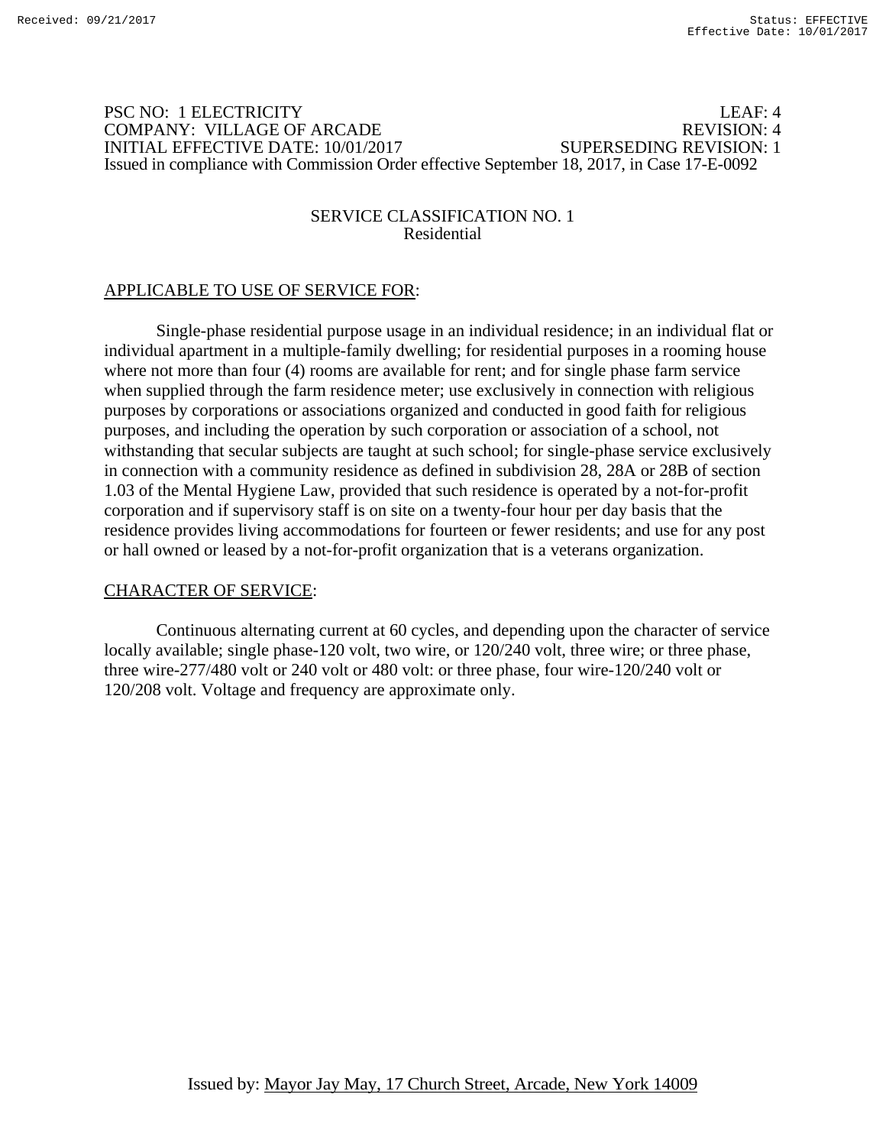### PSC NO: 1 ELECTRICITY LEAF: 4 COMPANY: VILLAGE OF ARCADE REVISION: 4 INITIAL EFFECTIVE DATE: 10/01/2017 SUPERSEDING REVISION: 1 Issued in compliance with Commission Order effective September 18, 2017, in Case 17-E-0092

### SERVICE CLASSIFICATION NO. 1 Residential

# APPLICABLE TO USE OF SERVICE FOR:

 Single-phase residential purpose usage in an individual residence; in an individual flat or individual apartment in a multiple-family dwelling; for residential purposes in a rooming house where not more than four (4) rooms are available for rent; and for single phase farm service when supplied through the farm residence meter; use exclusively in connection with religious purposes by corporations or associations organized and conducted in good faith for religious purposes, and including the operation by such corporation or association of a school, not withstanding that secular subjects are taught at such school; for single-phase service exclusively in connection with a community residence as defined in subdivision 28, 28A or 28B of section 1.03 of the Mental Hygiene Law, provided that such residence is operated by a not-for-profit corporation and if supervisory staff is on site on a twenty-four hour per day basis that the residence provides living accommodations for fourteen or fewer residents; and use for any post or hall owned or leased by a not-for-profit organization that is a veterans organization.

## CHARACTER OF SERVICE:

 Continuous alternating current at 60 cycles, and depending upon the character of service locally available; single phase-120 volt, two wire, or 120/240 volt, three wire; or three phase, three wire-277/480 volt or 240 volt or 480 volt: or three phase, four wire-120/240 volt or 120/208 volt. Voltage and frequency are approximate only.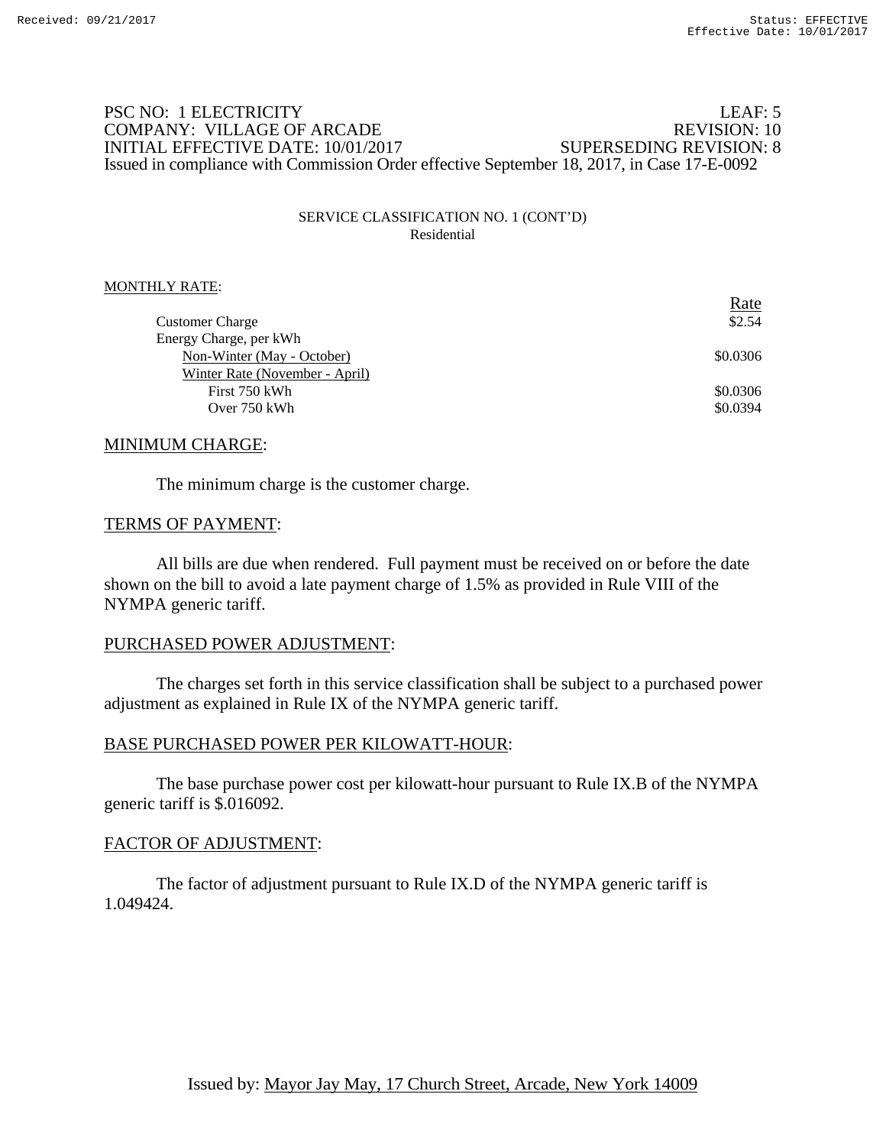### PSC NO: 1 ELECTRICITY LEAF: 5 COMPANY: VILLAGE OF ARCADE REVISION: 10 INITIAL EFFECTIVE DATE: 10/01/2017 SUPERSEDING REVISION: 8 Issued in compliance with Commission Order effective September 18, 2017, in Case 17-E-0092

#### SERVICE CLASSIFICATION NO. 1 (CONT'D) Residential

#### MONTHLY RATE:

|                                | <u>Rate</u> |
|--------------------------------|-------------|
| <b>Customer Charge</b>         | \$2.54      |
| Energy Charge, per kWh         |             |
| Non-Winter (May - October)     | \$0.0306    |
| Winter Rate (November - April) |             |
| First 750 kWh                  | \$0.0306    |
| Over 750 kWh                   | \$0.0394    |
|                                |             |

#### MINIMUM CHARGE:

The minimum charge is the customer charge.

#### TERMS OF PAYMENT:

 All bills are due when rendered. Full payment must be received on or before the date shown on the bill to avoid a late payment charge of 1.5% as provided in Rule VIII of the NYMPA generic tariff.

#### PURCHASED POWER ADJUSTMENT:

 The charges set forth in this service classification shall be subject to a purchased power adjustment as explained in Rule IX of the NYMPA generic tariff.

#### BASE PURCHASED POWER PER KILOWATT-HOUR:

 The base purchase power cost per kilowatt-hour pursuant to Rule IX.B of the NYMPA generic tariff is \$.016092.

#### FACTOR OF ADJUSTMENT: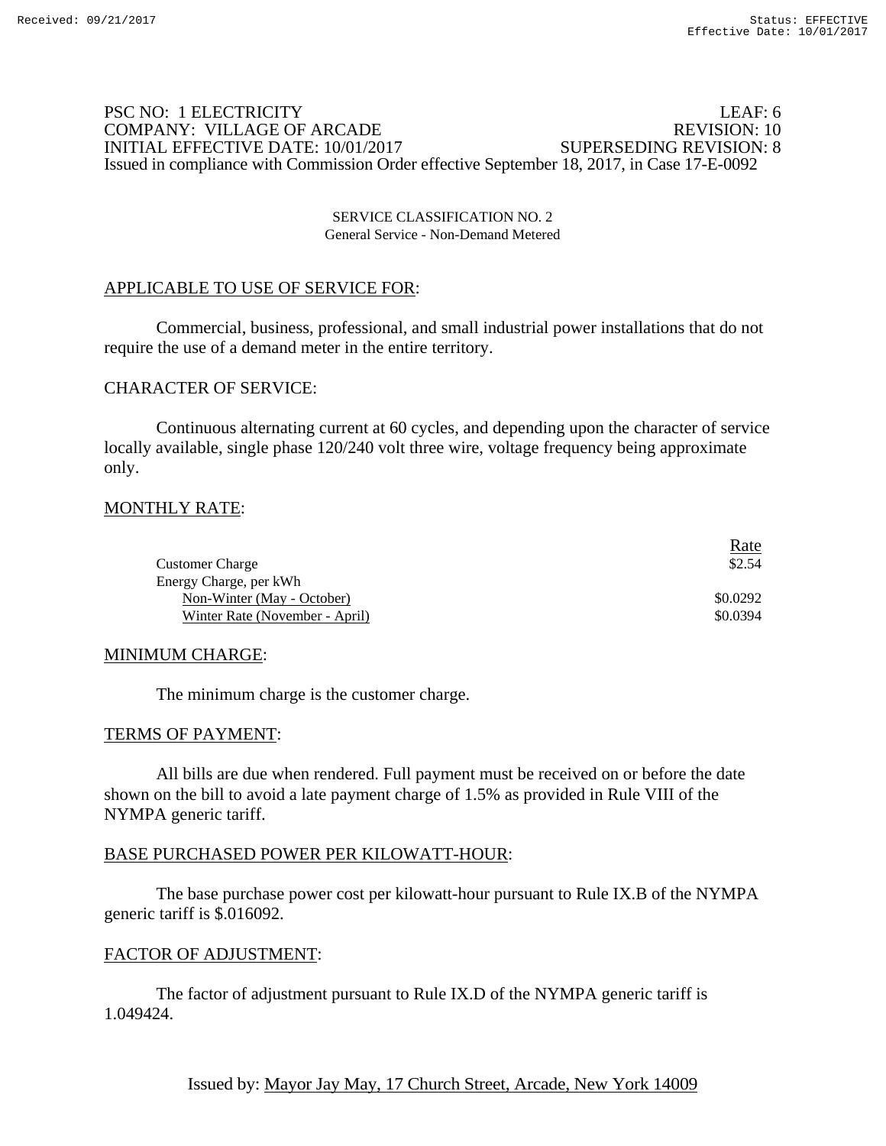### PSC NO: 1 ELECTRICITY LEAF: 6 COMPANY: VILLAGE OF ARCADE INITIAL EFFECTIVE DATE: 10/01/2017 SUPERSEDING REVISION: 8 Issued in compliance with Commission Order effective September 18, 2017, in Case 17-E-0092

#### SERVICE CLASSIFICATION NO. 2 General Service - Non-Demand Metered

## APPLICABLE TO USE OF SERVICE FOR:

 Commercial, business, professional, and small industrial power installations that do not require the use of a demand meter in the entire territory.

### CHARACTER OF SERVICE:

 Continuous alternating current at 60 cycles, and depending upon the character of service locally available, single phase 120/240 volt three wire, voltage frequency being approximate only.

## MONTHLY RATE:

|                                | <u>Rate</u> |
|--------------------------------|-------------|
| <b>Customer Charge</b>         | \$2.54      |
| Energy Charge, per kWh         |             |
| Non-Winter (May - October)     | \$0.0292    |
| Winter Rate (November - April) | \$0.0394    |

#### MINIMUM CHARGE:

The minimum charge is the customer charge.

#### TERMS OF PAYMENT:

 All bills are due when rendered. Full payment must be received on or before the date shown on the bill to avoid a late payment charge of 1.5% as provided in Rule VIII of the NYMPA generic tariff.

#### BASE PURCHASED POWER PER KILOWATT-HOUR:

 The base purchase power cost per kilowatt-hour pursuant to Rule IX.B of the NYMPA generic tariff is \$.016092.

#### FACTOR OF ADJUSTMENT: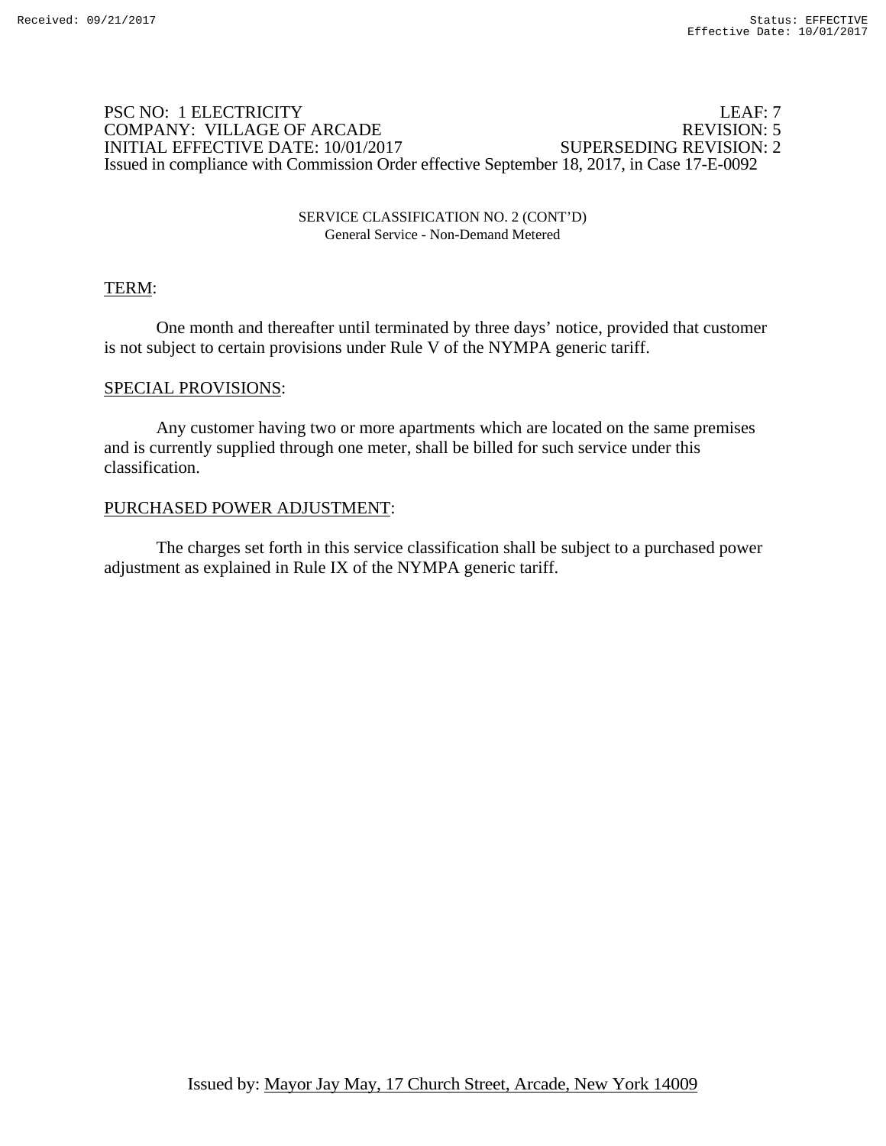### PSC NO: 1 ELECTRICITY LEAF: 7 COMPANY: VILLAGE OF ARCADE INITIAL EFFECTIVE DATE: 10/01/2017 SUPERSEDING REVISION: 2 Issued in compliance with Commission Order effective September 18, 2017, in Case 17-E-0092

#### SERVICE CLASSIFICATION NO. 2 (CONT'D) General Service - Non-Demand Metered

## TERM:

 One month and thereafter until terminated by three days' notice, provided that customer is not subject to certain provisions under Rule V of the NYMPA generic tariff.

### SPECIAL PROVISIONS:

 Any customer having two or more apartments which are located on the same premises and is currently supplied through one meter, shall be billed for such service under this classification.

### PURCHASED POWER ADJUSTMENT: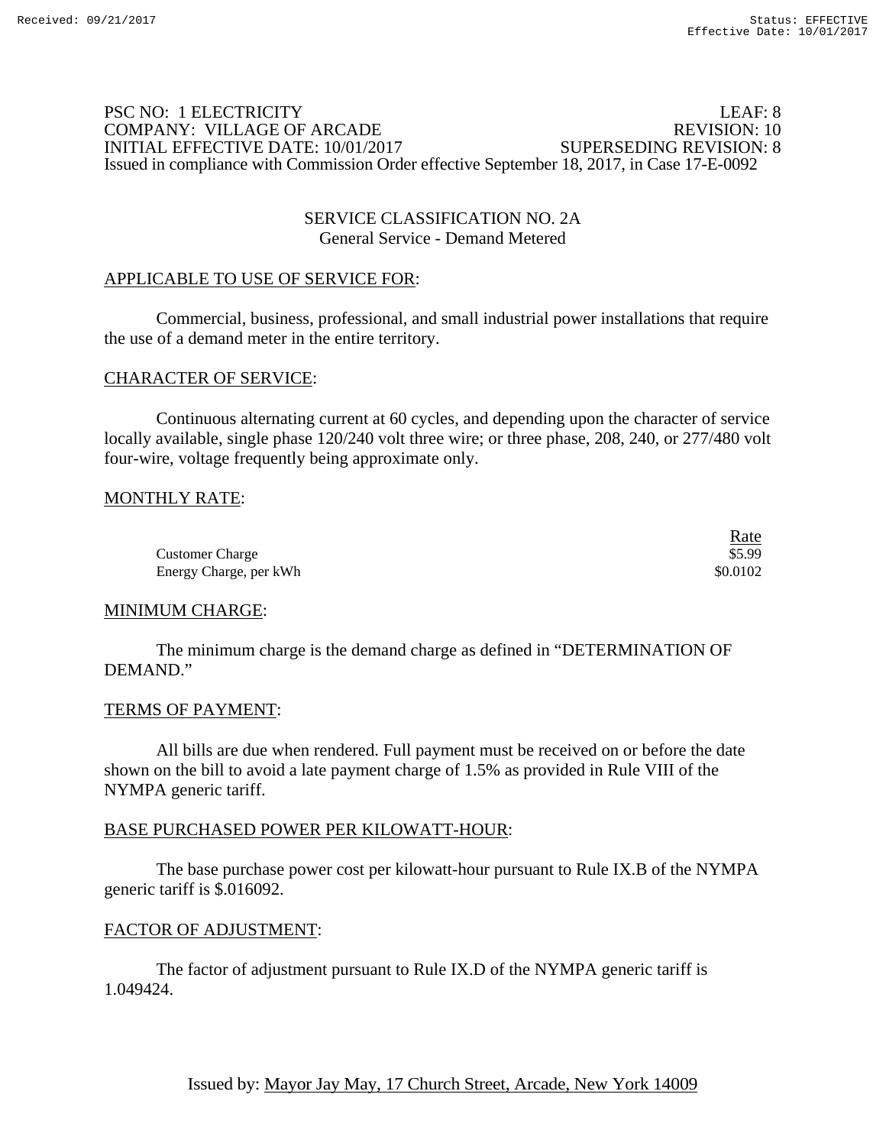### PSC NO: 1 ELECTRICITY LEAF: 8 COMPANY: VILLAGE OF ARCADE REVISION: 10 INITIAL EFFECTIVE DATE: 10/01/2017 SUPERSEDING REVISION: 8 Issued in compliance with Commission Order effective September 18, 2017, in Case 17-E-0092

### SERVICE CLASSIFICATION NO. 2A General Service - Demand Metered

# APPLICABLE TO USE OF SERVICE FOR:

 Commercial, business, professional, and small industrial power installations that require the use of a demand meter in the entire territory.

### CHARACTER OF SERVICE:

 Continuous alternating current at 60 cycles, and depending upon the character of service locally available, single phase 120/240 volt three wire; or three phase, 208, 240, or 277/480 volt four-wire, voltage frequently being approximate only.

## MONTHLY RATE:

|                        | Rate<br>$\sim$ $\sim$ $\sim$ |
|------------------------|------------------------------|
| <b>Customer Charge</b> | \$5.99                       |
| Energy Charge, per kWh | \$0.0102                     |

#### MINIMUM CHARGE:

 The minimum charge is the demand charge as defined in "DETERMINATION OF DEMAND."

#### TERMS OF PAYMENT:

 All bills are due when rendered. Full payment must be received on or before the date shown on the bill to avoid a late payment charge of 1.5% as provided in Rule VIII of the NYMPA generic tariff.

#### BASE PURCHASED POWER PER KILOWATT-HOUR:

 The base purchase power cost per kilowatt-hour pursuant to Rule IX.B of the NYMPA generic tariff is \$.016092.

#### FACTOR OF ADJUSTMENT: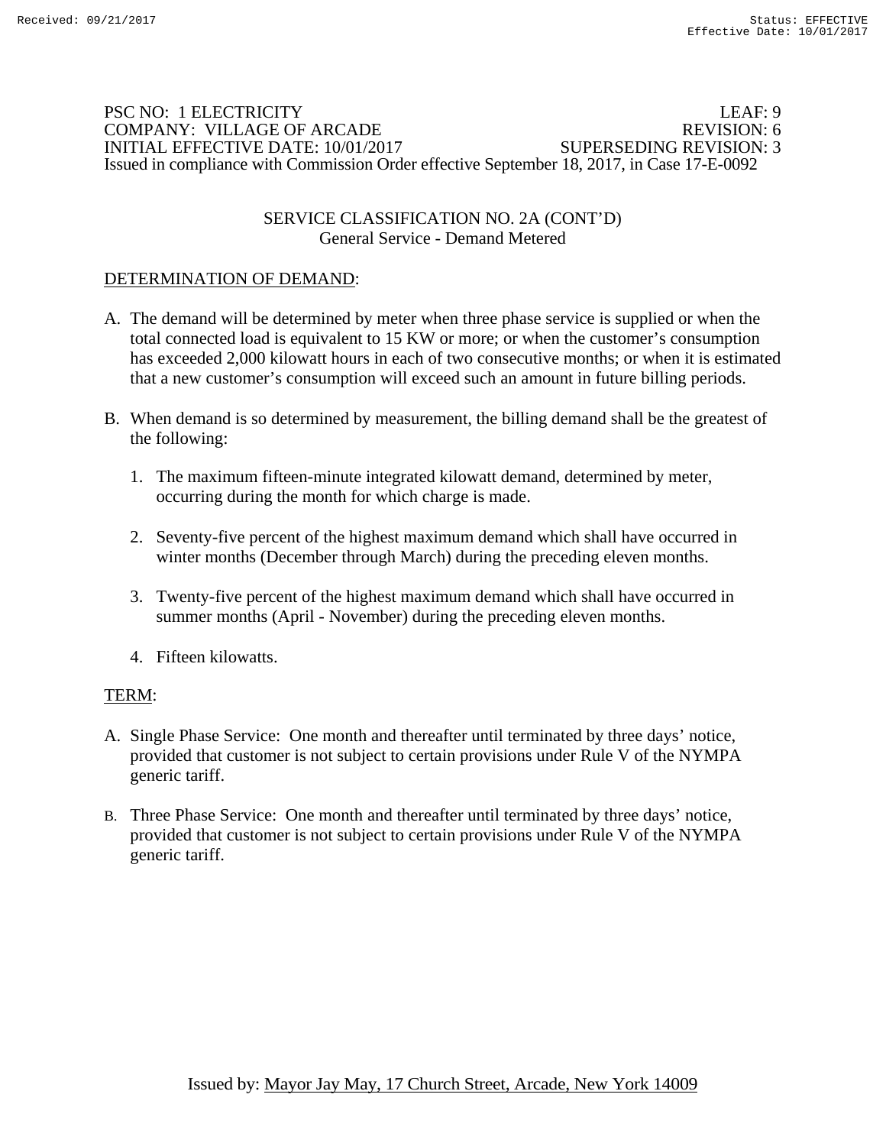### PSC NO: 1 ELECTRICITY LEAF: 9 COMPANY: VILLAGE OF ARCADE REVISION: 6 INITIAL EFFECTIVE DATE: 10/01/2017 SUPERSEDING REVISION: 3 Issued in compliance with Commission Order effective September 18, 2017, in Case 17-E-0092

## SERVICE CLASSIFICATION NO. 2A (CONT'D) General Service - Demand Metered

# DETERMINATION OF DEMAND:

- A. The demand will be determined by meter when three phase service is supplied or when the total connected load is equivalent to 15 KW or more; or when the customer's consumption has exceeded 2,000 kilowatt hours in each of two consecutive months; or when it is estimated that a new customer's consumption will exceed such an amount in future billing periods.
- B. When demand is so determined by measurement, the billing demand shall be the greatest of the following:
	- 1. The maximum fifteen-minute integrated kilowatt demand, determined by meter, occurring during the month for which charge is made.
	- 2. Seventy-five percent of the highest maximum demand which shall have occurred in winter months (December through March) during the preceding eleven months.
	- 3. Twenty-five percent of the highest maximum demand which shall have occurred in summer months (April - November) during the preceding eleven months.
	- 4. Fifteen kilowatts.

## TERM:

- A. Single Phase Service: One month and thereafter until terminated by three days' notice, provided that customer is not subject to certain provisions under Rule V of the NYMPA generic tariff.
- B. Three Phase Service: One month and thereafter until terminated by three days' notice, provided that customer is not subject to certain provisions under Rule V of the NYMPA generic tariff.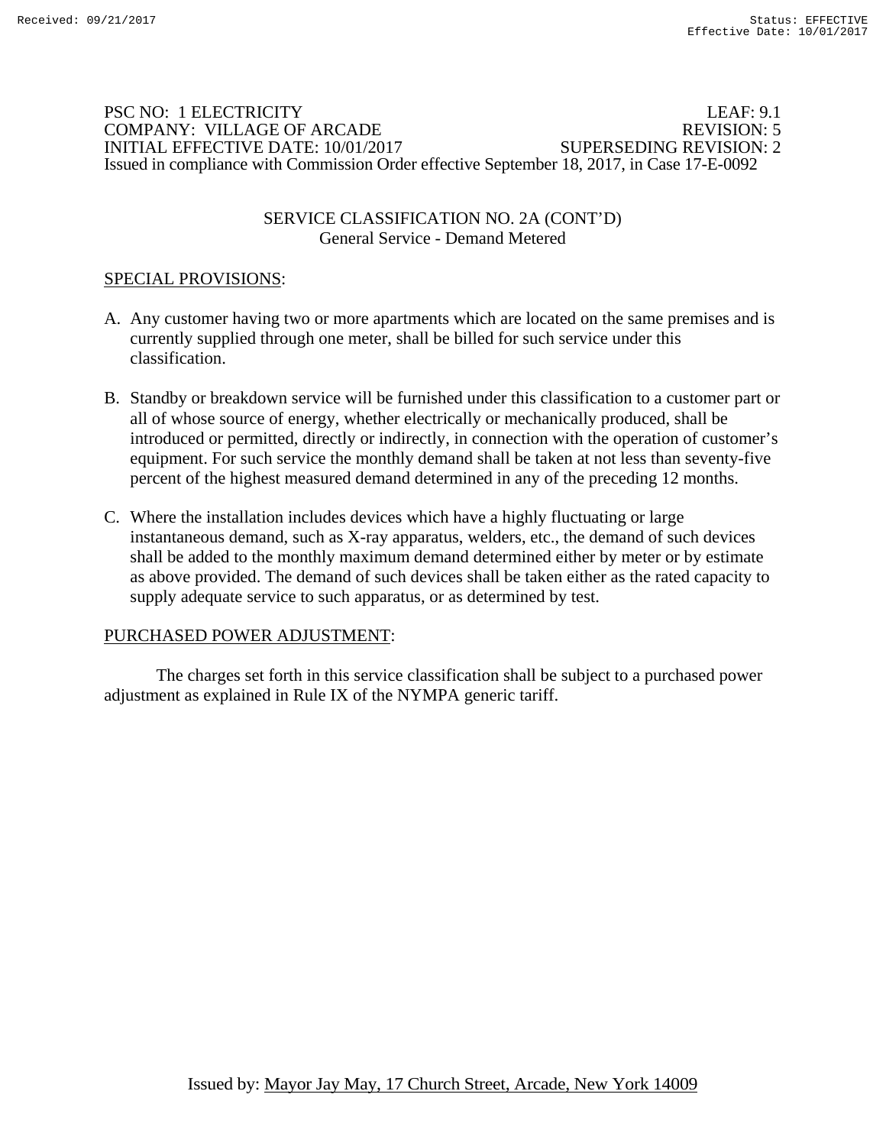### PSC NO: 1 ELECTRICITY LEAF: 9.1 COMPANY: VILLAGE OF ARCADE REVISION: 5 INITIAL EFFECTIVE DATE: 10/01/2017 SUPERSEDING REVISION: 2 Issued in compliance with Commission Order effective September 18, 2017, in Case 17-E-0092

## SERVICE CLASSIFICATION NO. 2A (CONT'D) General Service - Demand Metered

# SPECIAL PROVISIONS:

- A. Any customer having two or more apartments which are located on the same premises and is currently supplied through one meter, shall be billed for such service under this classification.
- B. Standby or breakdown service will be furnished under this classification to a customer part or all of whose source of energy, whether electrically or mechanically produced, shall be introduced or permitted, directly or indirectly, in connection with the operation of customer's equipment. For such service the monthly demand shall be taken at not less than seventy-five percent of the highest measured demand determined in any of the preceding 12 months.
- C. Where the installation includes devices which have a highly fluctuating or large instantaneous demand, such as X-ray apparatus, welders, etc., the demand of such devices shall be added to the monthly maximum demand determined either by meter or by estimate as above provided. The demand of such devices shall be taken either as the rated capacity to supply adequate service to such apparatus, or as determined by test.

## PURCHASED POWER ADJUSTMENT: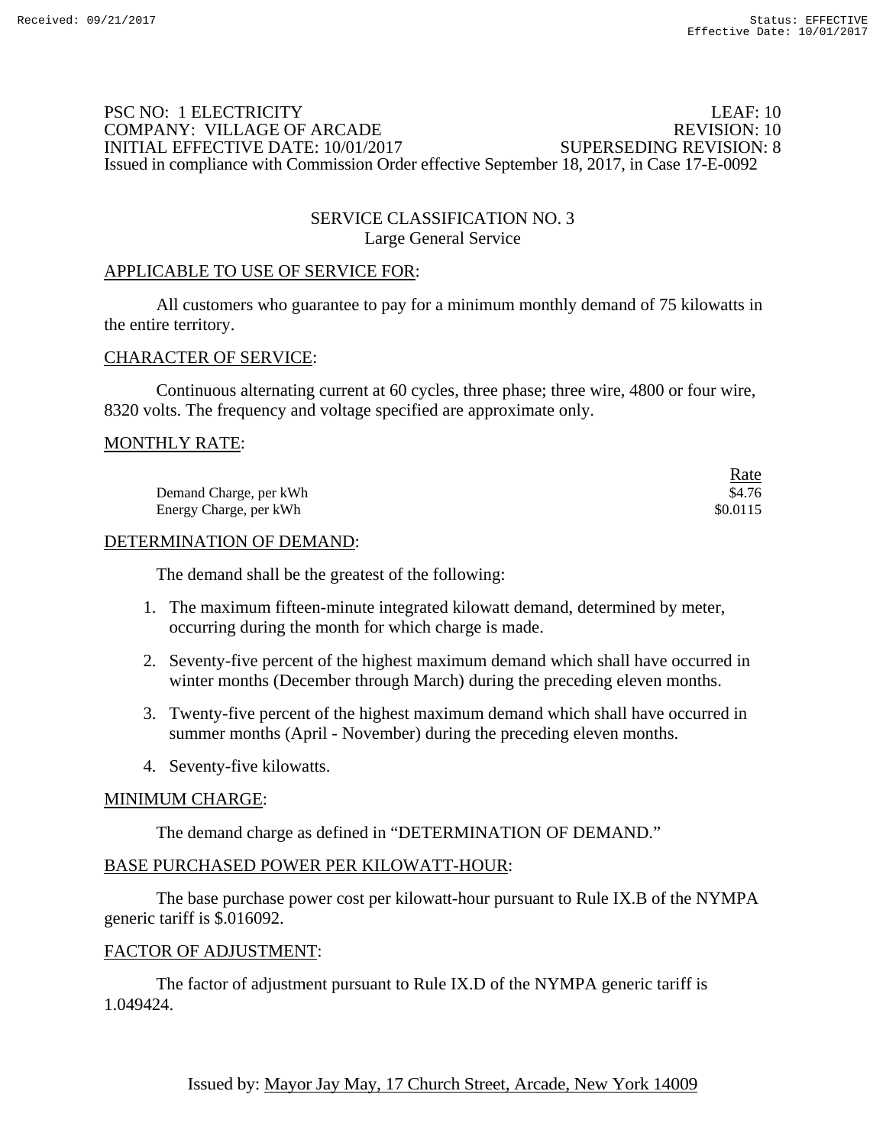## PSC NO: 1 ELECTRICITY LEAF: 10 COMPANY: VILLAGE OF ARCADE REVISION: 10 INITIAL EFFECTIVE DATE: 10/01/2017 SUPERSEDING REVISION: 8 Issued in compliance with Commission Order effective September 18, 2017, in Case 17-E-0092

## SERVICE CLASSIFICATION NO. 3 Large General Service

### APPLICABLE TO USE OF SERVICE FOR:

 All customers who guarantee to pay for a minimum monthly demand of 75 kilowatts in the entire territory.

#### CHARACTER OF SERVICE:

 Continuous alternating current at 60 cycles, three phase; three wire, 4800 or four wire, 8320 volts. The frequency and voltage specified are approximate only.

### MONTHLY RATE:

|                        | Rate<br><u> The Community of the Community of the Community of the Community of the Community of the Community of the Community of the Community of the Community of the Community of the Community of the Community of the Community of</u> |
|------------------------|----------------------------------------------------------------------------------------------------------------------------------------------------------------------------------------------------------------------------------------------|
| Demand Charge, per kWh | \$4.76                                                                                                                                                                                                                                       |
| Energy Charge, per kWh | \$0.0115                                                                                                                                                                                                                                     |

#### DETERMINATION OF DEMAND:

The demand shall be the greatest of the following:

- 1. The maximum fifteen-minute integrated kilowatt demand, determined by meter, occurring during the month for which charge is made.
- 2. Seventy-five percent of the highest maximum demand which shall have occurred in winter months (December through March) during the preceding eleven months.
- 3. Twenty-five percent of the highest maximum demand which shall have occurred in summer months (April - November) during the preceding eleven months.
- 4. Seventy-five kilowatts.

## MINIMUM CHARGE:

The demand charge as defined in "DETERMINATION OF DEMAND."

# BASE PURCHASED POWER PER KILOWATT-HOUR:

 The base purchase power cost per kilowatt-hour pursuant to Rule IX.B of the NYMPA generic tariff is \$.016092.

#### FACTOR OF ADJUSTMENT: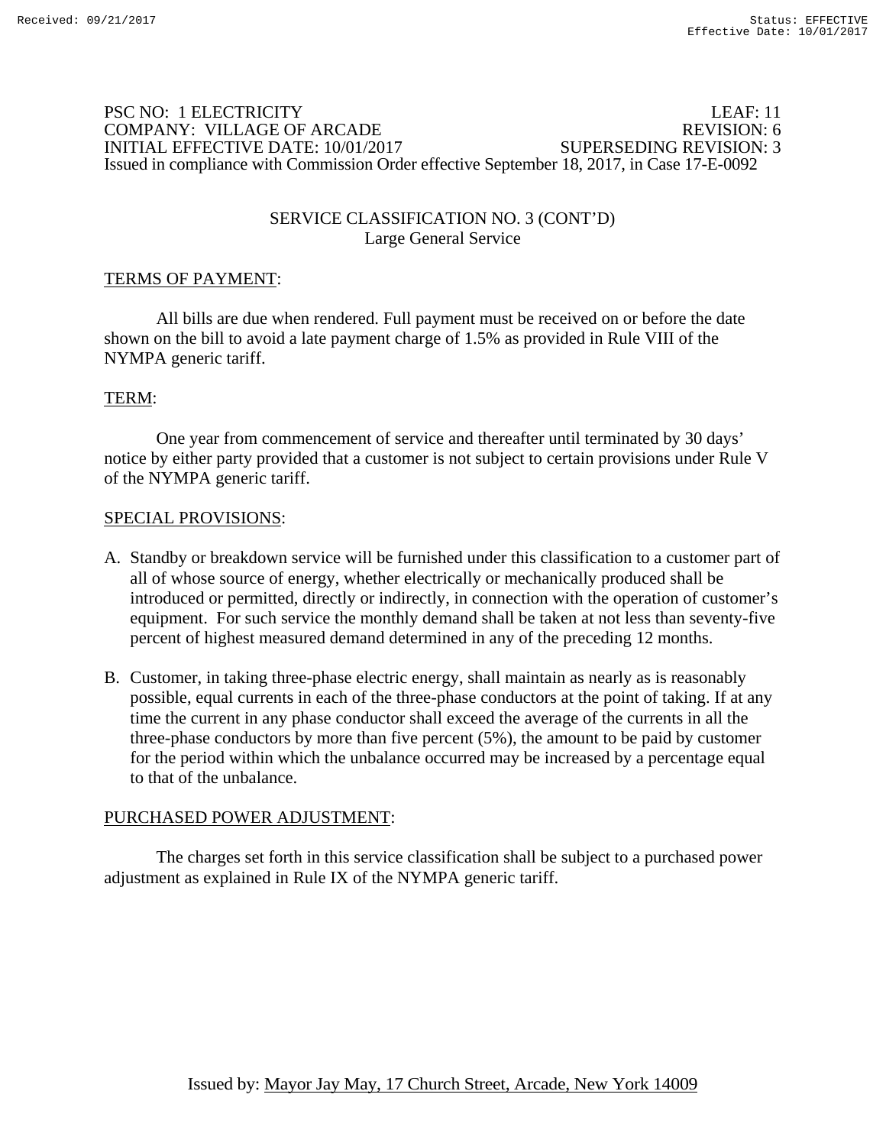### PSC NO: 1 ELECTRICITY LEAF: 11 COMPANY: VILLAGE OF ARCADE REVISION: 6 INITIAL EFFECTIVE DATE: 10/01/2017 SUPERSEDING REVISION: 3 Issued in compliance with Commission Order effective September 18, 2017, in Case 17-E-0092

## SERVICE CLASSIFICATION NO. 3 (CONT'D) Large General Service

# TERMS OF PAYMENT:

 All bills are due when rendered. Full payment must be received on or before the date shown on the bill to avoid a late payment charge of 1.5% as provided in Rule VIII of the NYMPA generic tariff.

## TERM:

 One year from commencement of service and thereafter until terminated by 30 days' notice by either party provided that a customer is not subject to certain provisions under Rule V of the NYMPA generic tariff.

#### SPECIAL PROVISIONS:

- A. Standby or breakdown service will be furnished under this classification to a customer part of all of whose source of energy, whether electrically or mechanically produced shall be introduced or permitted, directly or indirectly, in connection with the operation of customer's equipment. For such service the monthly demand shall be taken at not less than seventy-five percent of highest measured demand determined in any of the preceding 12 months.
- B. Customer, in taking three-phase electric energy, shall maintain as nearly as is reasonably possible, equal currents in each of the three-phase conductors at the point of taking. If at any time the current in any phase conductor shall exceed the average of the currents in all the three-phase conductors by more than five percent (5%), the amount to be paid by customer for the period within which the unbalance occurred may be increased by a percentage equal to that of the unbalance.

## PURCHASED POWER ADJUSTMENT: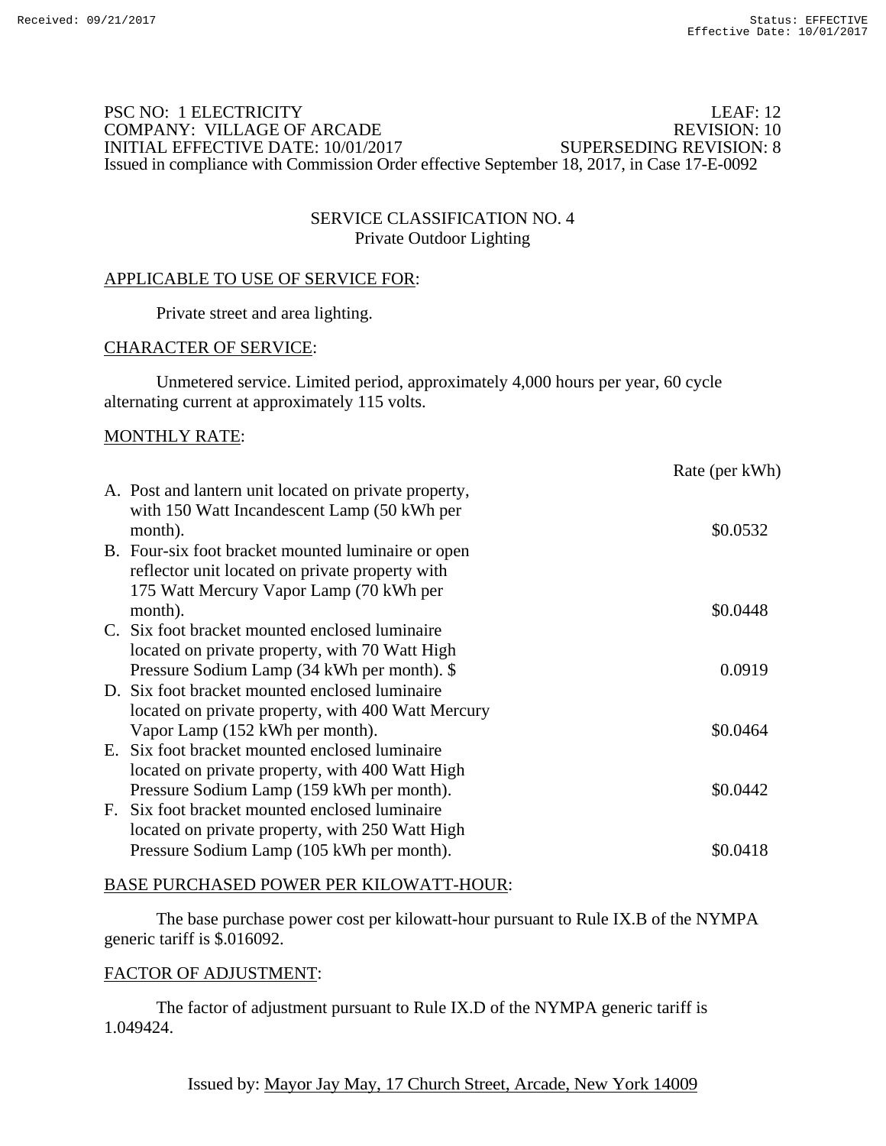## PSC NO: 1 ELECTRICITY LEAF: 12 COMPANY: VILLAGE OF ARCADE REVISION: 10<br>INITIAL EFFECTIVE DATE: 10/01/2017 SUPERSEDING REVISION: 8 INITIAL EFFECTIVE DATE: 10/01/2017 Issued in compliance with Commission Order effective September 18, 2017, in Case 17-E-0092

# SERVICE CLASSIFICATION NO. 4 Private Outdoor Lighting

## APPLICABLE TO USE OF SERVICE FOR:

Private street and area lighting.

#### CHARACTER OF SERVICE:

 Unmetered service. Limited period, approximately 4,000 hours per year, 60 cycle alternating current at approximately 115 volts.

#### MONTHLY RATE:

|                                                                                                                                                 | Rate (per kWh) |
|-------------------------------------------------------------------------------------------------------------------------------------------------|----------------|
| A. Post and lantern unit located on private property,<br>with 150 Watt Incandescent Lamp (50 kWh per<br>month).                                 | \$0.0532       |
| B. Four-six foot bracket mounted luminaire or open<br>reflector unit located on private property with                                           |                |
| 175 Watt Mercury Vapor Lamp (70 kWh per<br>month).                                                                                              | \$0.0448       |
| C. Six foot bracket mounted enclosed luminaire<br>located on private property, with 70 Watt High<br>Pressure Sodium Lamp (34 kWh per month). \$ | 0.0919         |
| D. Six foot bracket mounted enclosed luminaire<br>located on private property, with 400 Watt Mercury                                            |                |
| Vapor Lamp (152 kWh per month).<br>E. Six foot bracket mounted enclosed luminaire                                                               | \$0.0464       |
| located on private property, with 400 Watt High<br>Pressure Sodium Lamp (159 kWh per month).<br>F. Six foot bracket mounted enclosed luminaire  | \$0.0442       |
| located on private property, with 250 Watt High<br>Pressure Sodium Lamp (105 kWh per month).                                                    | \$0.0418       |

#### BASE PURCHASED POWER PER KILOWATT-HOUR:

 The base purchase power cost per kilowatt-hour pursuant to Rule IX.B of the NYMPA generic tariff is \$.016092.

#### FACTOR OF ADJUSTMENT: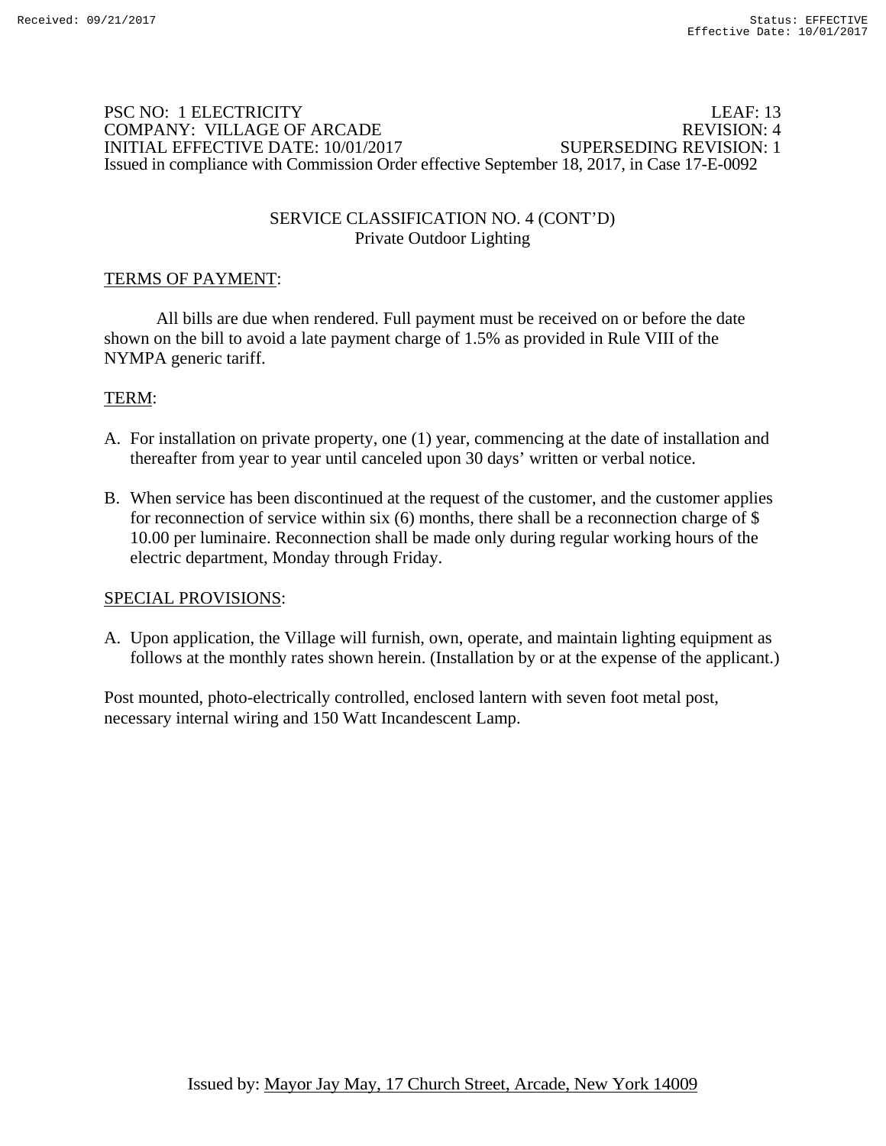### PSC NO: 1 ELECTRICITY LEAF: 13 COMPANY: VILLAGE OF ARCADE REVISION: 4 INITIAL EFFECTIVE DATE: 10/01/2017 SUPERSEDING REVISION: 1 Issued in compliance with Commission Order effective September 18, 2017, in Case 17-E-0092

## SERVICE CLASSIFICATION NO. 4 (CONT'D) Private Outdoor Lighting

# TERMS OF PAYMENT:

 All bills are due when rendered. Full payment must be received on or before the date shown on the bill to avoid a late payment charge of 1.5% as provided in Rule VIII of the NYMPA generic tariff.

## TERM:

- A. For installation on private property, one (1) year, commencing at the date of installation and thereafter from year to year until canceled upon 30 days' written or verbal notice.
- B. When service has been discontinued at the request of the customer, and the customer applies for reconnection of service within six  $(6)$  months, there shall be a reconnection charge of \$ 10.00 per luminaire. Reconnection shall be made only during regular working hours of the electric department, Monday through Friday.

### SPECIAL PROVISIONS:

A. Upon application, the Village will furnish, own, operate, and maintain lighting equipment as follows at the monthly rates shown herein. (Installation by or at the expense of the applicant.)

Post mounted, photo-electrically controlled, enclosed lantern with seven foot metal post, necessary internal wiring and 150 Watt Incandescent Lamp.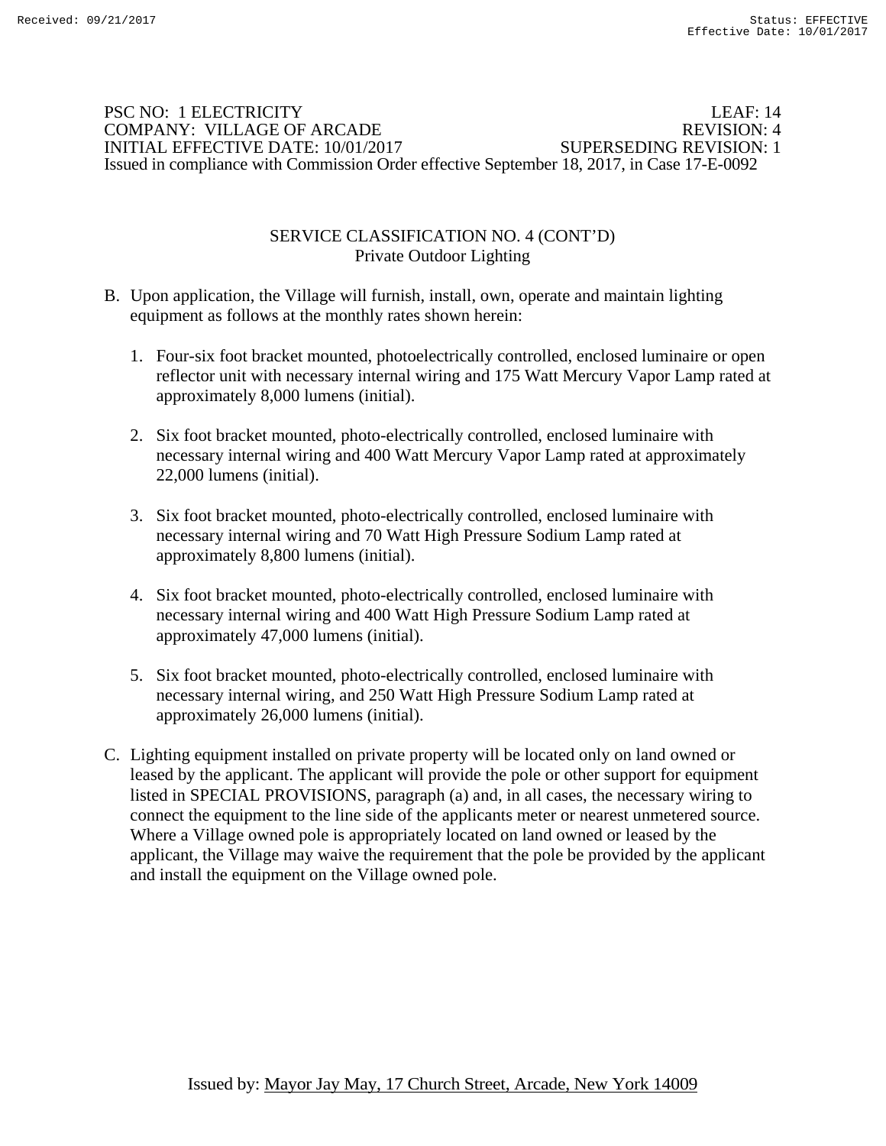### PSC NO: 1 ELECTRICITY LEAF: 14 COMPANY: VILLAGE OF ARCADE REVISION: 4 INITIAL EFFECTIVE DATE: 10/01/2017 SUPERSEDING REVISION: 1 Issued in compliance with Commission Order effective September 18, 2017, in Case 17-E-0092

### SERVICE CLASSIFICATION NO. 4 (CONT'D) Private Outdoor Lighting

- B. Upon application, the Village will furnish, install, own, operate and maintain lighting equipment as follows at the monthly rates shown herein:
	- 1. Four-six foot bracket mounted, photoelectrically controlled, enclosed luminaire or open reflector unit with necessary internal wiring and 175 Watt Mercury Vapor Lamp rated at approximately 8,000 lumens (initial).
	- 2. Six foot bracket mounted, photo-electrically controlled, enclosed luminaire with necessary internal wiring and 400 Watt Mercury Vapor Lamp rated at approximately 22,000 lumens (initial).
	- 3. Six foot bracket mounted, photo-electrically controlled, enclosed luminaire with necessary internal wiring and 70 Watt High Pressure Sodium Lamp rated at approximately 8,800 lumens (initial).
	- 4. Six foot bracket mounted, photo-electrically controlled, enclosed luminaire with necessary internal wiring and 400 Watt High Pressure Sodium Lamp rated at approximately 47,000 lumens (initial).
	- 5. Six foot bracket mounted, photo-electrically controlled, enclosed luminaire with necessary internal wiring, and 250 Watt High Pressure Sodium Lamp rated at approximately 26,000 lumens (initial).
- C. Lighting equipment installed on private property will be located only on land owned or leased by the applicant. The applicant will provide the pole or other support for equipment listed in SPECIAL PROVISIONS, paragraph (a) and, in all cases, the necessary wiring to connect the equipment to the line side of the applicants meter or nearest unmetered source. Where a Village owned pole is appropriately located on land owned or leased by the applicant, the Village may waive the requirement that the pole be provided by the applicant and install the equipment on the Village owned pole.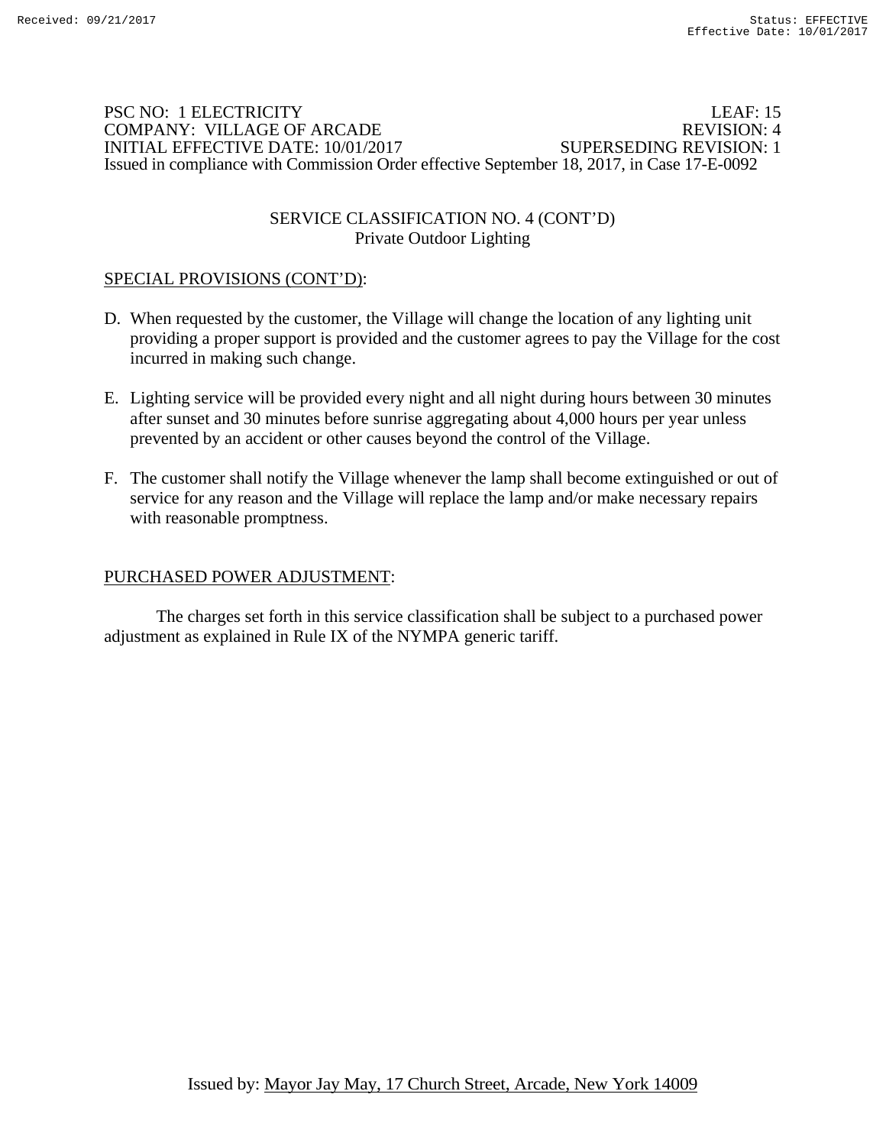### PSC NO: 1 ELECTRICITY LEAF: 15 COMPANY: VILLAGE OF ARCADE REVISION: 4 INITIAL EFFECTIVE DATE: 10/01/2017 SUPERSEDING REVISION: 1 Issued in compliance with Commission Order effective September 18, 2017, in Case 17-E-0092

## SERVICE CLASSIFICATION NO. 4 (CONT'D) Private Outdoor Lighting

## SPECIAL PROVISIONS (CONT'D):

- D. When requested by the customer, the Village will change the location of any lighting unit providing a proper support is provided and the customer agrees to pay the Village for the cost incurred in making such change.
- E. Lighting service will be provided every night and all night during hours between 30 minutes after sunset and 30 minutes before sunrise aggregating about 4,000 hours per year unless prevented by an accident or other causes beyond the control of the Village.
- F. The customer shall notify the Village whenever the lamp shall become extinguished or out of service for any reason and the Village will replace the lamp and/or make necessary repairs with reasonable promptness.

## PURCHASED POWER ADJUSTMENT: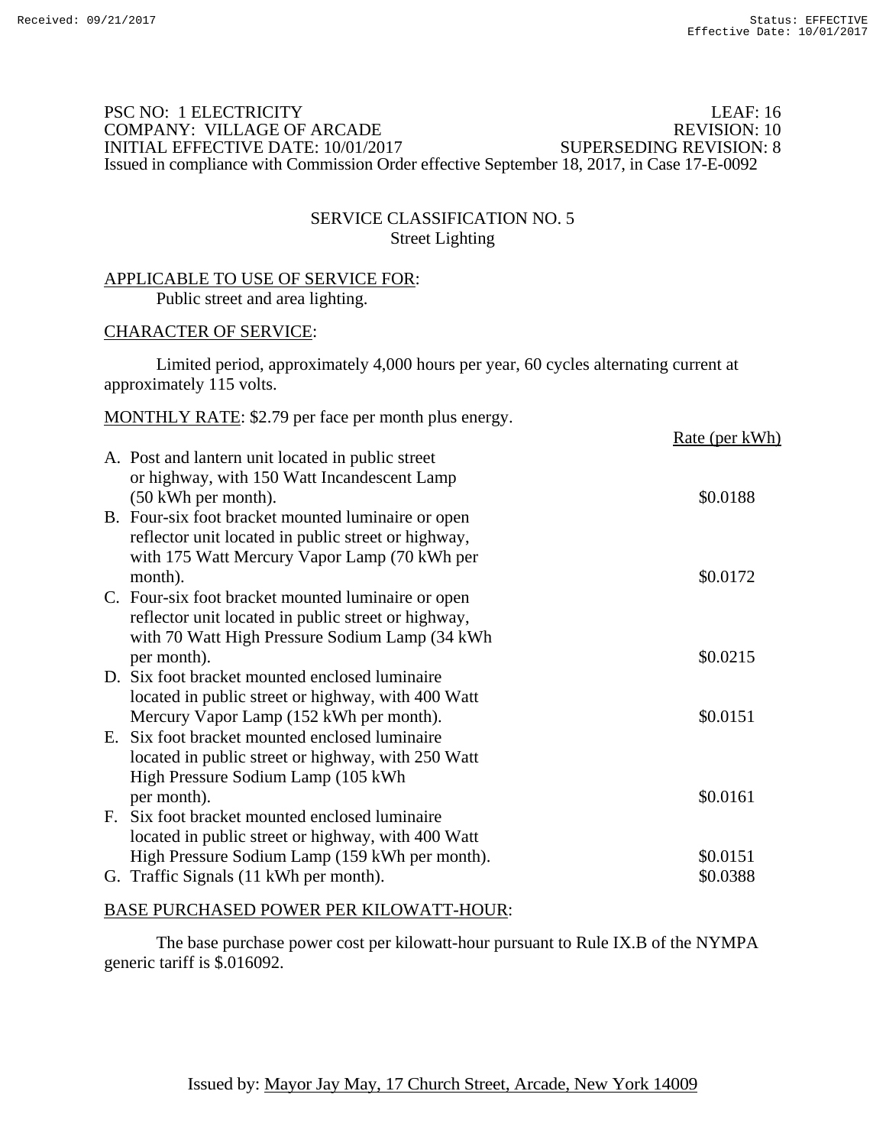## PSC NO: 1 ELECTRICITY LEAF: 16 COMPANY: VILLAGE OF ARCADE REVISION: 10 INITIAL EFFECTIVE DATE: 10/01/2017 SUPERSEDING REVISION: 8 Issued in compliance with Commission Order effective September 18, 2017, in Case 17-E-0092

## SERVICE CLASSIFICATION NO. 5 Street Lighting

#### APPLICABLE TO USE OF SERVICE FOR: Public street and area lighting.

#### CHARACTER OF SERVICE:

 Limited period, approximately 4,000 hours per year, 60 cycles alternating current at approximately 115 volts.

| MONTHLY RATE: \$2.79 per face per month plus energy. |                       |
|------------------------------------------------------|-----------------------|
|                                                      | <u>Rate (per kWh)</u> |
| A. Post and lantern unit located in public street    |                       |
| or highway, with 150 Watt Incandescent Lamp          |                       |
| $(50 \text{ kWh})$ per month).                       | \$0.0188              |
| B. Four-six foot bracket mounted luminaire or open   |                       |
| reflector unit located in public street or highway,  |                       |
| with 175 Watt Mercury Vapor Lamp (70 kWh per         |                       |
| month).                                              | \$0.0172              |
| C. Four-six foot bracket mounted luminaire or open   |                       |
| reflector unit located in public street or highway,  |                       |
| with 70 Watt High Pressure Sodium Lamp (34 kWh)      |                       |
| per month).                                          | \$0.0215              |
| D. Six foot bracket mounted enclosed luminaire       |                       |
|                                                      |                       |
| located in public street or highway, with 400 Watt   |                       |
| Mercury Vapor Lamp (152 kWh per month).              | \$0.0151              |
| E. Six foot bracket mounted enclosed luminaire       |                       |
| located in public street or highway, with 250 Watt   |                       |
| High Pressure Sodium Lamp (105 kWh)                  |                       |
| per month).                                          | \$0.0161              |

F. Six foot bracket mounted enclosed luminaire located in public street or highway, with 400 Watt High Pressure Sodium Lamp (159 kWh per month).  $$0.0151$ G. Traffic Signals (11 kWh per month).  $$0.0388$ 

#### BASE PURCHASED POWER PER KILOWATT-HOUR:

 The base purchase power cost per kilowatt-hour pursuant to Rule IX.B of the NYMPA generic tariff is \$.016092.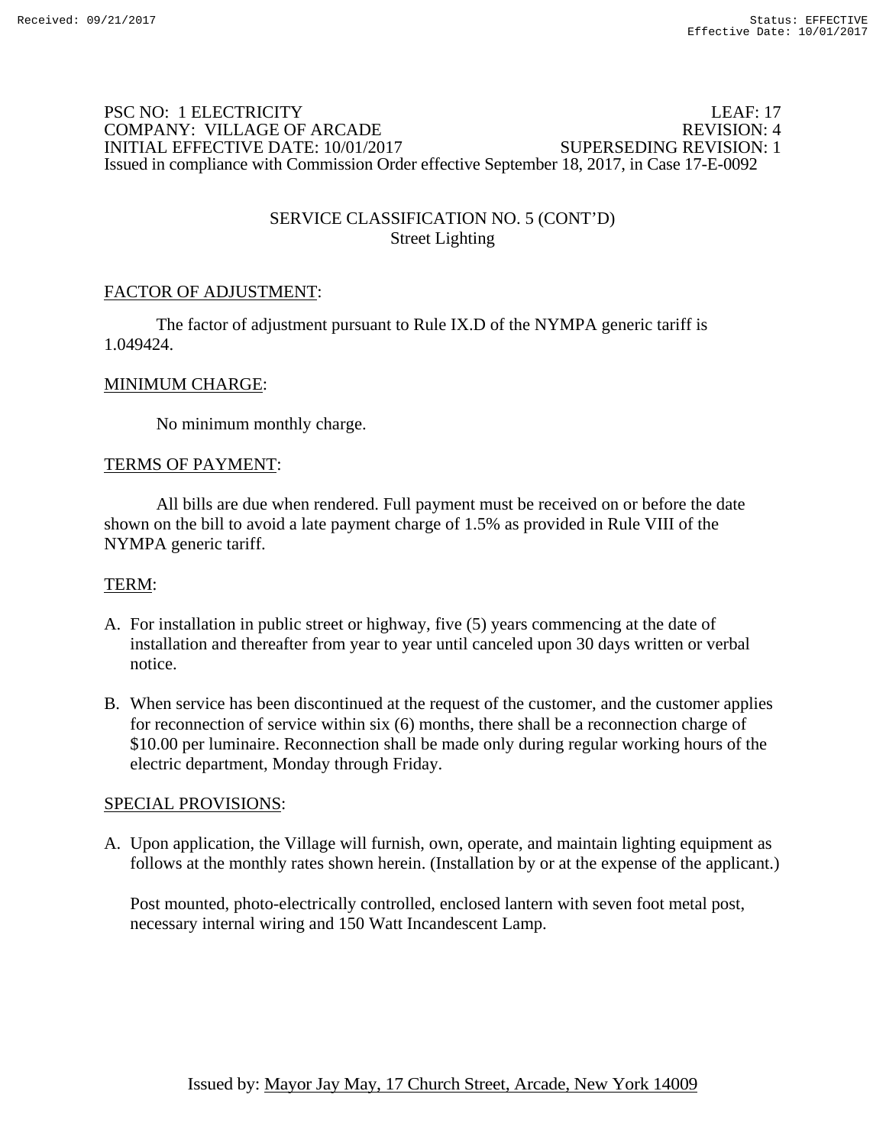## PSC NO: 1 ELECTRICITY LEAF: 17 COMPANY: VILLAGE OF ARCADE REVISION: 4 INITIAL EFFECTIVE DATE: 10/01/2017 SUPERSEDING REVISION: 1 Issued in compliance with Commission Order effective September 18, 2017, in Case 17-E-0092

# SERVICE CLASSIFICATION NO. 5 (CONT'D) Street Lighting

# FACTOR OF ADJUSTMENT:

 The factor of adjustment pursuant to Rule IX.D of the NYMPA generic tariff is 1.049424.

## MINIMUM CHARGE:

No minimum monthly charge.

### TERMS OF PAYMENT:

 All bills are due when rendered. Full payment must be received on or before the date shown on the bill to avoid a late payment charge of 1.5% as provided in Rule VIII of the NYMPA generic tariff.

## TERM:

- A. For installation in public street or highway, five (5) years commencing at the date of installation and thereafter from year to year until canceled upon 30 days written or verbal notice.
- B. When service has been discontinued at the request of the customer, and the customer applies for reconnection of service within six (6) months, there shall be a reconnection charge of \$10.00 per luminaire. Reconnection shall be made only during regular working hours of the electric department, Monday through Friday.

#### SPECIAL PROVISIONS:

A. Upon application, the Village will furnish, own, operate, and maintain lighting equipment as follows at the monthly rates shown herein. (Installation by or at the expense of the applicant.)

Post mounted, photo-electrically controlled, enclosed lantern with seven foot metal post, necessary internal wiring and 150 Watt Incandescent Lamp.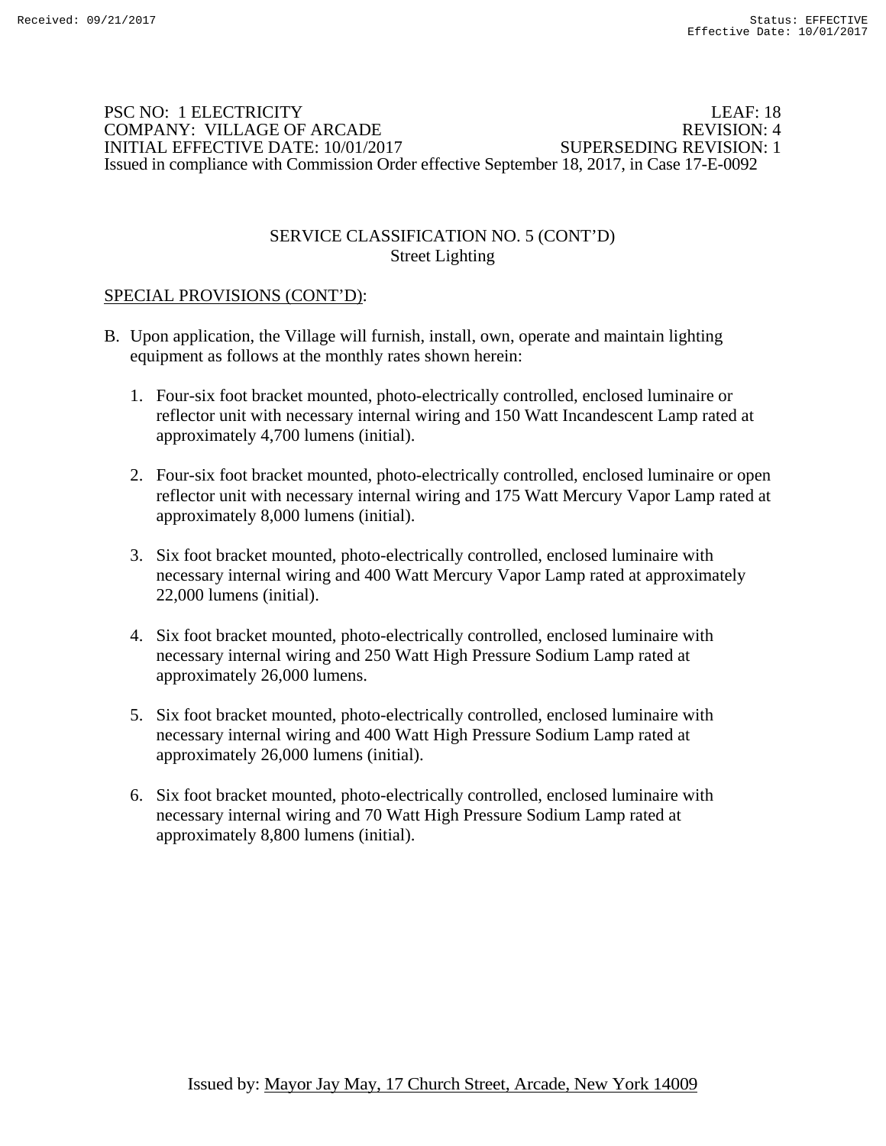### PSC NO: 1 ELECTRICITY LEAF: 18 COMPANY: VILLAGE OF ARCADE REVISION: 4 INITIAL EFFECTIVE DATE: 10/01/2017 SUPERSEDING REVISION: 1 Issued in compliance with Commission Order effective September 18, 2017, in Case 17-E-0092

## SERVICE CLASSIFICATION NO. 5 (CONT'D) Street Lighting

# SPECIAL PROVISIONS (CONT'D):

- B. Upon application, the Village will furnish, install, own, operate and maintain lighting equipment as follows at the monthly rates shown herein:
	- 1. Four-six foot bracket mounted, photo-electrically controlled, enclosed luminaire or reflector unit with necessary internal wiring and 150 Watt Incandescent Lamp rated at approximately 4,700 lumens (initial).
	- 2. Four-six foot bracket mounted, photo-electrically controlled, enclosed luminaire or open reflector unit with necessary internal wiring and 175 Watt Mercury Vapor Lamp rated at approximately 8,000 lumens (initial).
	- 3. Six foot bracket mounted, photo-electrically controlled, enclosed luminaire with necessary internal wiring and 400 Watt Mercury Vapor Lamp rated at approximately 22,000 lumens (initial).
	- 4. Six foot bracket mounted, photo-electrically controlled, enclosed luminaire with necessary internal wiring and 250 Watt High Pressure Sodium Lamp rated at approximately 26,000 lumens.
	- 5. Six foot bracket mounted, photo-electrically controlled, enclosed luminaire with necessary internal wiring and 400 Watt High Pressure Sodium Lamp rated at approximately 26,000 lumens (initial).
	- 6. Six foot bracket mounted, photo-electrically controlled, enclosed luminaire with necessary internal wiring and 70 Watt High Pressure Sodium Lamp rated at approximately 8,800 lumens (initial).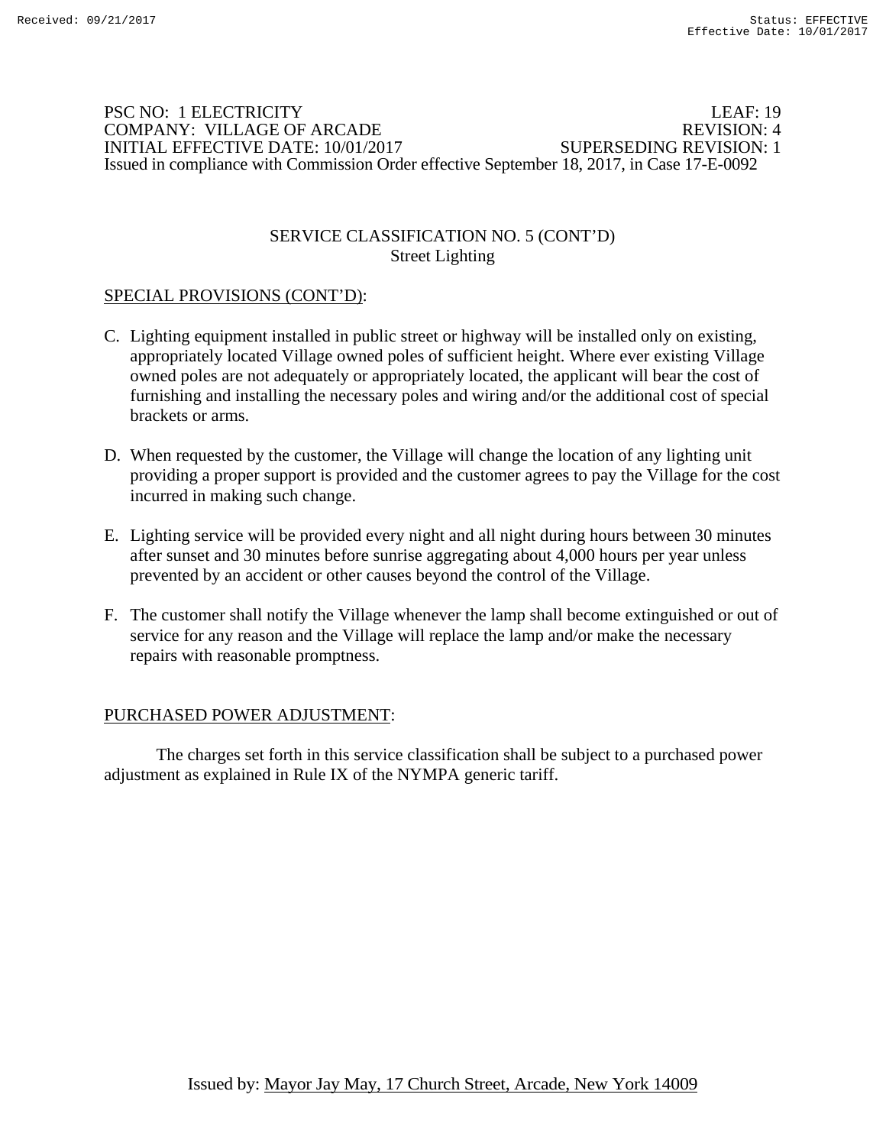### PSC NO: 1 ELECTRICITY LEAF: 19 COMPANY: VILLAGE OF ARCADE REVISION: 4 INITIAL EFFECTIVE DATE: 10/01/2017 SUPERSEDING REVISION: 1 Issued in compliance with Commission Order effective September 18, 2017, in Case 17-E-0092

### SERVICE CLASSIFICATION NO. 5 (CONT'D) Street Lighting

# SPECIAL PROVISIONS (CONT'D):

- C. Lighting equipment installed in public street or highway will be installed only on existing, appropriately located Village owned poles of sufficient height. Where ever existing Village owned poles are not adequately or appropriately located, the applicant will bear the cost of furnishing and installing the necessary poles and wiring and/or the additional cost of special brackets or arms.
- D. When requested by the customer, the Village will change the location of any lighting unit providing a proper support is provided and the customer agrees to pay the Village for the cost incurred in making such change.
- E. Lighting service will be provided every night and all night during hours between 30 minutes after sunset and 30 minutes before sunrise aggregating about 4,000 hours per year unless prevented by an accident or other causes beyond the control of the Village.
- F. The customer shall notify the Village whenever the lamp shall become extinguished or out of service for any reason and the Village will replace the lamp and/or make the necessary repairs with reasonable promptness.

## PURCHASED POWER ADJUSTMENT: